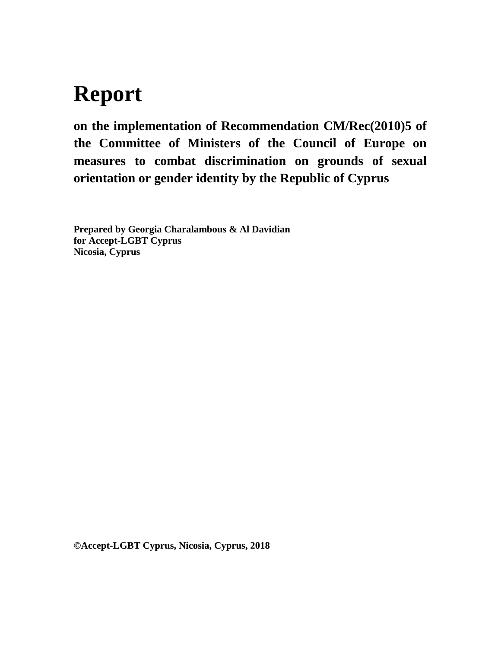# **Report**

**on the implementation of Recommendation CM/Rec(2010)5 of the Committee of Ministers of the Council of Europe on measures to combat discrimination on grounds of sexual orientation or gender identity by the Republic of Cyprus**

**Prepared by Georgia Charalambous & Al Davidian for Accept-LGBT Cyprus Nicosia, Cyprus**

**©Accept-LGBT Cyprus, Nicosia, Cyprus, 2018**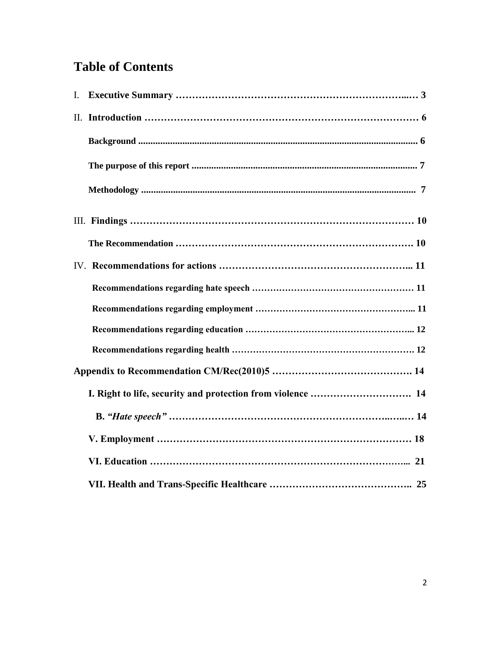# **Table of Contents**

| $\mathbf{I}$ . |  |
|----------------|--|
|                |  |
|                |  |
|                |  |
|                |  |
|                |  |
|                |  |
|                |  |
|                |  |
|                |  |
|                |  |
|                |  |
|                |  |
|                |  |
|                |  |
|                |  |
|                |  |
|                |  |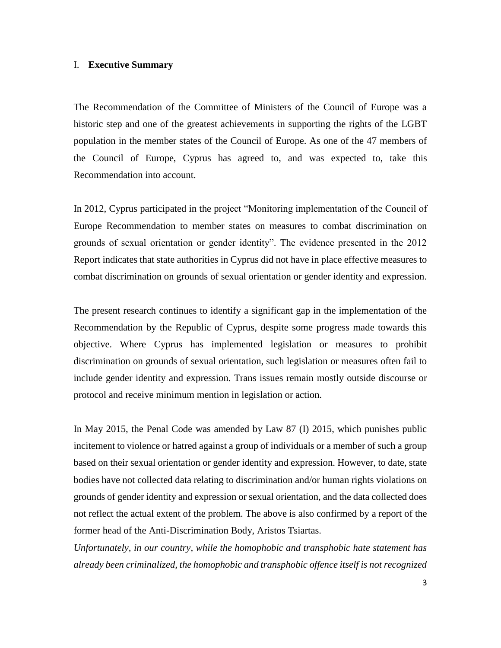# I. **Executive Summary**

The Recommendation of the Committee of Ministers of the Council of Europe was a historic step and one of the greatest achievements in supporting the rights of the LGBT population in the member states of the Council of Europe. As one of the 47 members of the Council of Europe, Cyprus has agreed to, and was expected to, take this Recommendation into account.

In 2012, Cyprus participated in the project "Monitoring implementation of the Council of Europe Recommendation to member states on measures to combat discrimination on grounds of sexual orientation or gender identity". The evidence presented in the 2012 Report indicates that state authorities in Cyprus did not have in place effective measures to combat discrimination on grounds of sexual orientation or gender identity and expression.

The present research continues to identify a significant gap in the implementation of the Recommendation by the Republic of Cyprus, despite some progress made towards this objective. Where Cyprus has implemented legislation or measures to prohibit discrimination on grounds of sexual orientation, such legislation or measures often fail to include gender identity and expression. Trans issues remain mostly outside discourse or protocol and receive minimum mention in legislation or action.

In May 2015, the Penal Code was amended by Law 87 (I) 2015, which punishes public incitement to violence or hatred against a group of individuals or a member of such a group based on their sexual orientation or gender identity and expression. However, to date, state bodies have not collected data relating to discrimination and/or human rights violations on grounds of gender identity and expression or sexual orientation, and the data collected does not reflect the actual extent of the problem. The above is also confirmed by a report of the former head of the Anti-Discrimination Body, Aristos Tsiartas.

*Unfortunately, in our country, while the homophobic and transphobic hate statement has already been criminalized, the homophobic and transphobic offence itself is not recognized*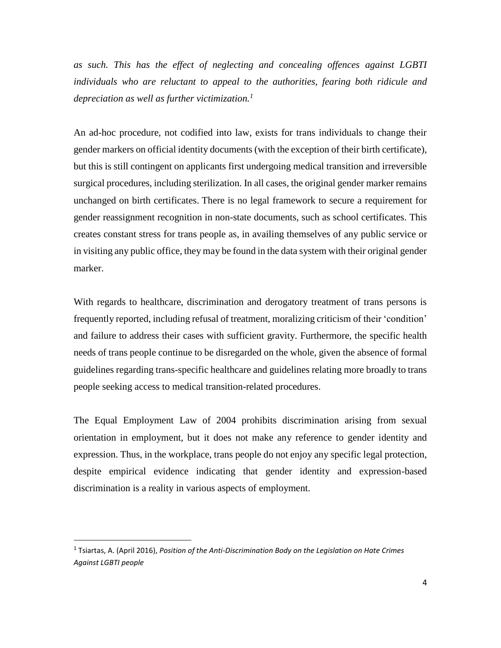*as such. This has the effect of neglecting and concealing offences against LGBTI individuals who are reluctant to appeal to the authorities, fearing both ridicule and depreciation as well as further victimization.<sup>1</sup>*

An ad-hoc procedure, not codified into law, exists for trans individuals to change their gender markers on official identity documents (with the exception of their birth certificate), but this is still contingent on applicants first undergoing medical transition and irreversible surgical procedures, including sterilization. In all cases, the original gender marker remains unchanged on birth certificates. There is no legal framework to secure a requirement for gender reassignment recognition in non-state documents, such as school certificates. This creates constant stress for trans people as, in availing themselves of any public service or in visiting any public office, they may be found in the data system with their original gender marker.

With regards to healthcare, discrimination and derogatory treatment of trans persons is frequently reported, including refusal of treatment, moralizing criticism of their 'condition' and failure to address their cases with sufficient gravity. Furthermore, the specific health needs of trans people continue to be disregarded on the whole, given the absence of formal guidelines regarding trans-specific healthcare and guidelines relating more broadly to trans people seeking access to medical transition-related procedures.

The Equal Employment Law of 2004 prohibits discrimination arising from sexual orientation in employment, but it does not make any reference to gender identity and expression. Thus, in the workplace, trans people do not enjoy any specific legal protection, despite empirical evidence indicating that gender identity and expression-based discrimination is a reality in various aspects of employment.

 $\overline{\phantom{a}}$ 

<sup>&</sup>lt;sup>1</sup> Tsiartas, A. (April 2016), *Position of the Anti-Discrimination Body on the Legislation on Hate Crimes Against LGBTI people*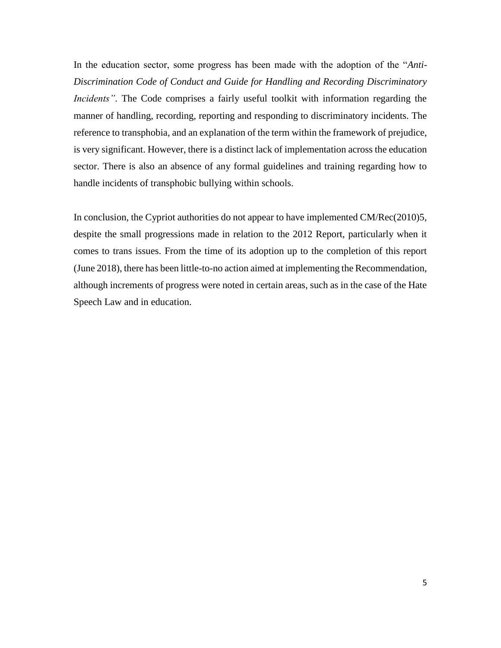In the education sector, some progress has been made with the adoption of the "*Anti-Discrimination Code of Conduct and Guide for Handling and Recording Discriminatory Incidents"*. The Code comprises a fairly useful toolkit with information regarding the manner of handling, recording, reporting and responding to discriminatory incidents. The reference to transphobia, and an explanation of the term within the framework of prejudice, is very significant. However, there is a distinct lack of implementation across the education sector. There is also an absence of any formal guidelines and training regarding how to handle incidents of transphobic bullying within schools.

In conclusion, the Cypriot authorities do not appear to have implemented CM/Rec(2010)5, despite the small progressions made in relation to the 2012 Report, particularly when it comes to trans issues. From the time of its adoption up to the completion of this report (June 2018), there has been little-to-no action aimed at implementing the Recommendation, although increments of progress were noted in certain areas, such as in the case of the Hate Speech Law and in education.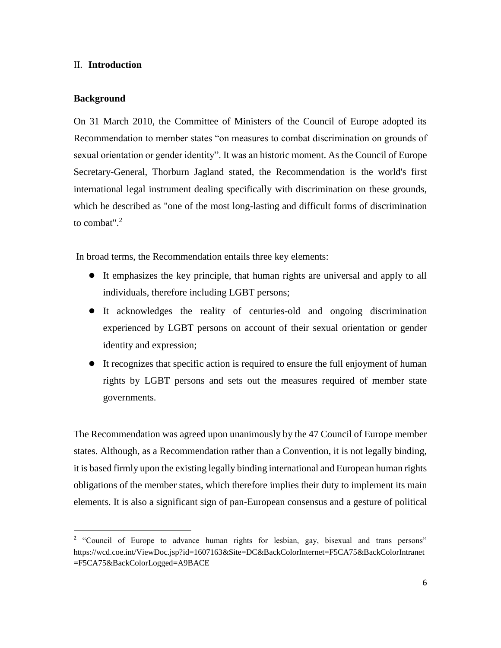# II. **Introduction**

# **Background**

 $\overline{\phantom{a}}$ 

On 31 March 2010, the Committee of Ministers of the Council of Europe adopted its Recommendation to member states "on measures to combat discrimination on grounds of sexual orientation or gender identity". It was an historic moment. As the Council of Europe Secretary-General, Thorburn Jagland stated, the Recommendation is the world's first international legal instrument dealing specifically with discrimination on these grounds, which he described as "one of the most long-lasting and difficult forms of discrimination to combat". 2

In broad terms, the Recommendation entails three key elements:

- It emphasizes the key principle, that human rights are universal and apply to all individuals, therefore including LGBT persons;
- It acknowledges the reality of centuries-old and ongoing discrimination experienced by LGBT persons on account of their sexual orientation or gender identity and expression;
- It recognizes that specific action is required to ensure the full enjoyment of human rights by LGBT persons and sets out the measures required of member state governments.

The Recommendation was agreed upon unanimously by the 47 Council of Europe member states. Although, as a Recommendation rather than a Convention, it is not legally binding, it is based firmly upon the existing legally binding international and European human rights obligations of the member states, which therefore implies their duty to implement its main elements. It is also a significant sign of pan-European consensus and a gesture of political

<sup>&</sup>lt;sup>2</sup> "Council of Europe to advance human rights for lesbian, gay, bisexual and trans persons" https://wcd.coe.int/ViewDoc.jsp?id=1607163&Site=DC&BackColorInternet=F5CA75&BackColorIntranet =F5CA75&BackColorLogged=A9BACE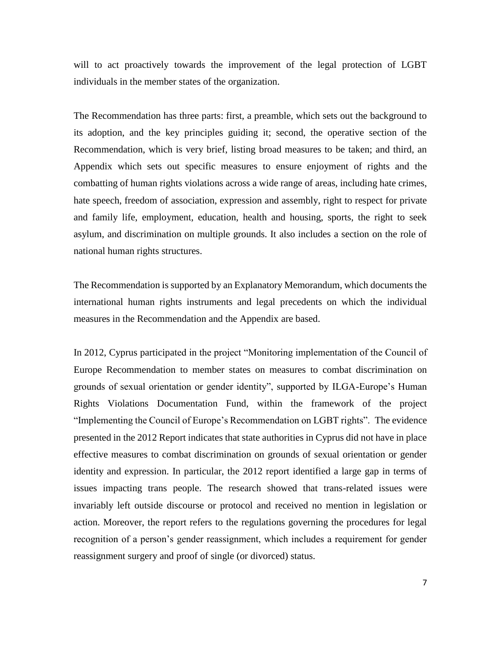will to act proactively towards the improvement of the legal protection of LGBT individuals in the member states of the organization.

The Recommendation has three parts: first, a preamble, which sets out the background to its adoption, and the key principles guiding it; second, the operative section of the Recommendation, which is very brief, listing broad measures to be taken; and third, an Appendix which sets out specific measures to ensure enjoyment of rights and the combatting of human rights violations across a wide range of areas, including hate crimes, hate speech, freedom of association, expression and assembly, right to respect for private and family life, employment, education, health and housing, sports, the right to seek asylum, and discrimination on multiple grounds. It also includes a section on the role of national human rights structures.

The Recommendation is supported by an Explanatory Memorandum, which documents the international human rights instruments and legal precedents on which the individual measures in the Recommendation and the Appendix are based.

In 2012, Cyprus participated in the project "Monitoring implementation of the Council of Europe Recommendation to member states on measures to combat discrimination on grounds of sexual orientation or gender identity", supported by ILGA-Europe's Human Rights Violations Documentation Fund, within the framework of the project "Implementing the Council of Europe's Recommendation on LGBT rights". The evidence presented in the 2012 Report indicates that state authorities in Cyprus did not have in place effective measures to combat discrimination on grounds of sexual orientation or gender identity and expression. In particular, the 2012 report identified a large gap in terms of issues impacting trans people. The research showed that trans-related issues were invariably left outside discourse or protocol and received no mention in legislation or action. Moreover, the report refers to the regulations governing the procedures for legal recognition of a person's gender reassignment, which includes a requirement for gender reassignment surgery and proof of single (or divorced) status.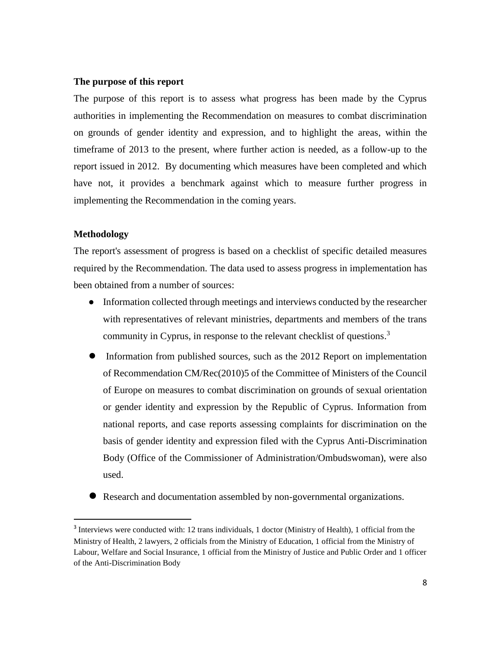#### **The purpose of this report**

The purpose of this report is to assess what progress has been made by the Cyprus authorities in implementing the Recommendation on measures to combat discrimination on grounds of gender identity and expression, and to highlight the areas, within the timeframe of 2013 to the present, where further action is needed, as a follow-up to the report issued in 2012. By documenting which measures have been completed and which have not, it provides a benchmark against which to measure further progress in implementing the Recommendation in the coming years.

# **Methodology**

 $\overline{a}$ 

The report's assessment of progress is based on a checklist of specific detailed measures required by the Recommendation. The data used to assess progress in implementation has been obtained from a number of sources:

- Information collected through meetings and interviews conducted by the researcher with representatives of relevant ministries, departments and members of the trans community in Cyprus, in response to the relevant checklist of questions.<sup>3</sup>
- Information from published sources, such as the 2012 Report on implementation of Recommendation CM/Rec(2010)5 of the Committee of Ministers of the Council of Europe on measures to combat discrimination on grounds of sexual orientation or gender identity and expression by the Republic of Cyprus. Information from national reports, and case reports assessing complaints for discrimination on the basis of gender identity and expression filed with the Cyprus Anti-Discrimination Body (Office of the Commissioner of Administration/Ombudswoman), were also used.
- Research and documentation assembled by non-governmental organizations.

<sup>&</sup>lt;sup>3</sup> Interviews were conducted with: 12 trans individuals, 1 doctor (Ministry of Health), 1 official from the Ministry of Health, 2 lawyers, 2 officials from the Ministry of Education, 1 official from the Ministry of Labour, Welfare and Social Insurance, 1 official from the Ministry of Justice and Public Order and 1 officer of the Anti-Discrimination Body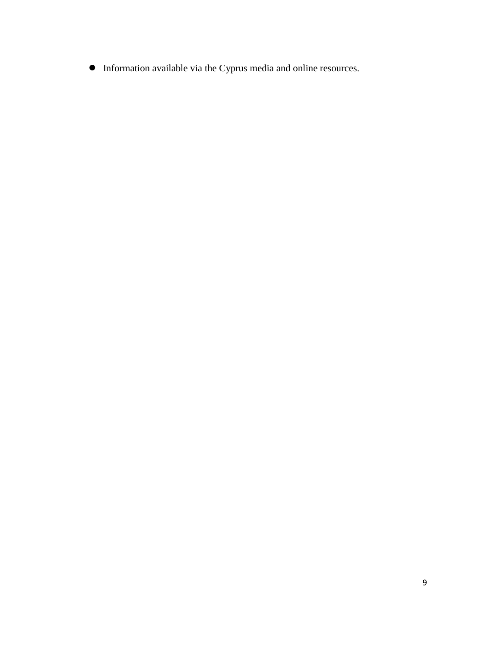● Information available via the Cyprus media and online resources.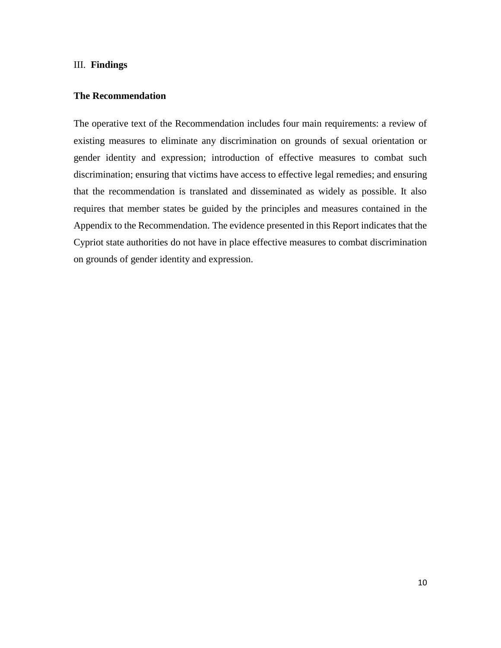#### III. **Findings**

# **The Recommendation**

The operative text of the Recommendation includes four main requirements: a review of existing measures to eliminate any discrimination on grounds of sexual orientation or gender identity and expression; introduction of effective measures to combat such discrimination; ensuring that victims have access to effective legal remedies; and ensuring that the recommendation is translated and disseminated as widely as possible. It also requires that member states be guided by the principles and measures contained in the Appendix to the Recommendation. The evidence presented in this Report indicates that the Cypriot state authorities do not have in place effective measures to combat discrimination on grounds of gender identity and expression.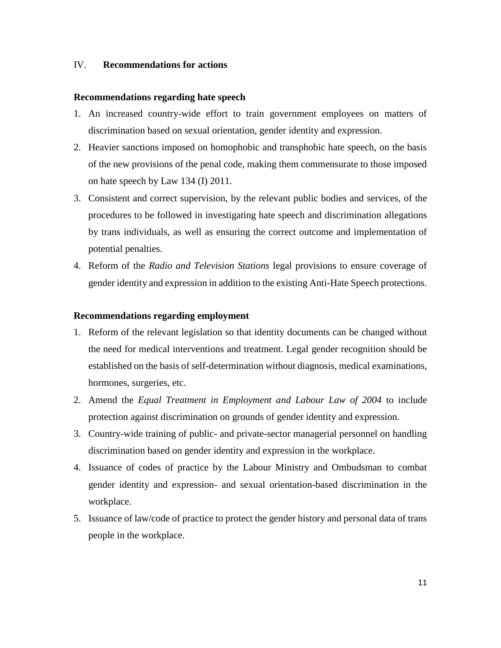# IV. **Recommendations for actions**

# **Recommendations regarding hate speech**

- 1. An increased country-wide effort to train government employees on matters of discrimination based on sexual orientation, gender identity and expression.
- 2. Heavier sanctions imposed on homophobic and transphobic hate speech, on the basis of the new provisions of the penal code, making them commensurate to those imposed on hate speech by Law 134 (I) 2011.
- 3. Consistent and correct supervision, by the relevant public bodies and services, of the procedures to be followed in investigating hate speech and discrimination allegations by trans individuals, as well as ensuring the correct outcome and implementation of potential penalties.
- 4. Reform of the *Radio and Television Stations* legal provisions to ensure coverage of gender identity and expression in addition to the existing Anti-Hate Speech protections.

# **Recommendations regarding employment**

- 1. Reform of the relevant legislation so that identity documents can be changed without the need for medical interventions and treatment. Legal gender recognition should be established on the basis of self-determination without diagnosis, medical examinations, hormones, surgeries, etc.
- 2. Amend the *Equal Treatment in Employment and Labour Law of 2004* to include protection against discrimination on grounds of gender identity and expression.
- 3. Country-wide training of public- and private-sector managerial personnel on handling discrimination based on gender identity and expression in the workplace.
- 4. Issuance of codes of practice by the Labour Ministry and Ombudsman to combat gender identity and expression- and sexual orientation-based discrimination in the workplace.
- 5. Issuance of law/code of practice to protect the gender history and personal data of trans people in the workplace.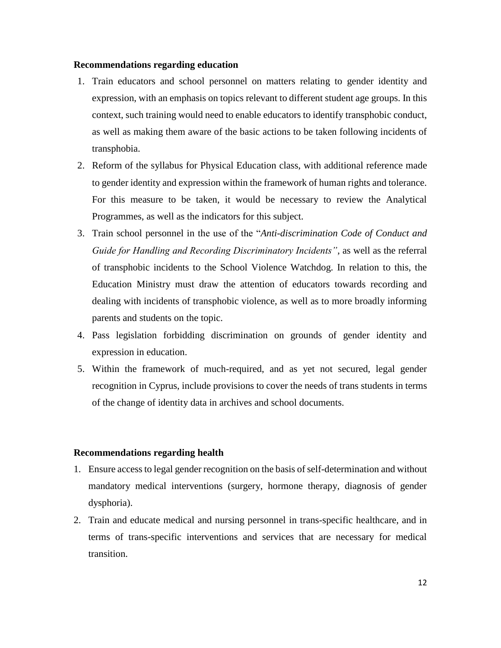# **Recommendations regarding education**

- 1. Train educators and school personnel on matters relating to gender identity and expression, with an emphasis on topics relevant to different student age groups. In this context, such training would need to enable educators to identify transphobic conduct, as well as making them aware of the basic actions to be taken following incidents of transphobia.
- 2. Reform of the syllabus for Physical Education class, with additional reference made to gender identity and expression within the framework of human rights and tolerance. For this measure to be taken, it would be necessary to review the Analytical Programmes, as well as the indicators for this subject.
- 3. Train school personnel in the use of the "*Anti-discrimination Code of Conduct and Guide for Handling and Recording Discriminatory Incidents"*, as well as the referral of transphobic incidents to the School Violence Watchdog. In relation to this, the Education Ministry must draw the attention of educators towards recording and dealing with incidents of transphobic violence, as well as to more broadly informing parents and students on the topic.
- 4. Pass legislation forbidding discrimination on grounds of gender identity and expression in education.
- 5. Within the framework of much-required, and as yet not secured, legal gender recognition in Cyprus, include provisions to cover the needs of trans students in terms of the change of identity data in archives and school documents.

# **Recommendations regarding health**

- 1. Ensure access to legal gender recognition on the basis of self-determination and without mandatory medical interventions (surgery, hormone therapy, diagnosis of gender dysphoria).
- 2. Train and educate medical and nursing personnel in trans-specific healthcare, and in terms of trans-specific interventions and services that are necessary for medical transition.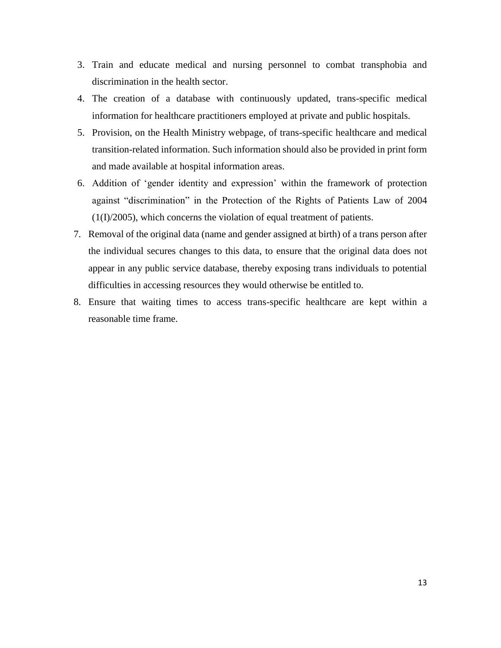- 3. Train and educate medical and nursing personnel to combat transphobia and discrimination in the health sector.
- 4. The creation of a database with continuously updated, trans-specific medical information for healthcare practitioners employed at private and public hospitals.
- 5. Provision, on the Health Ministry webpage, of trans-specific healthcare and medical transition-related information. Such information should also be provided in print form and made available at hospital information areas.
- 6. Addition of 'gender identity and expression' within the framework of protection against "discrimination" in the Protection of the Rights of Patients Law of 2004 (1(I)/2005), which concerns the violation of equal treatment of patients.
- 7. Removal of the original data (name and gender assigned at birth) of a trans person after the individual secures changes to this data, to ensure that the original data does not appear in any public service database, thereby exposing trans individuals to potential difficulties in accessing resources they would otherwise be entitled to.
- 8. Ensure that waiting times to access trans-specific healthcare are kept within a reasonable time frame.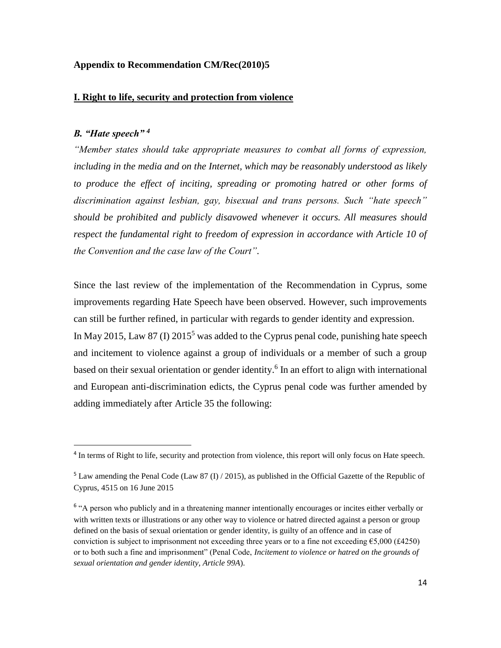# **Appendix to Recommendation CM/Rec(2010)5**

#### **I. Right to life, security and protection from violence**

#### *B. "Hate speech" <sup>4</sup>*

 $\overline{\phantom{a}}$ 

*"Member states should take appropriate measures to combat all forms of expression, including in the media and on the Internet, which may be reasonably understood as likely to produce the effect of inciting, spreading or promoting hatred or other forms of discrimination against lesbian, gay, bisexual and trans persons. Such "hate speech" should be prohibited and publicly disavowed whenever it occurs. All measures should respect the fundamental right to freedom of expression in accordance with Article 10 of the Convention and the case law of the Court".*

Since the last review of the implementation of the Recommendation in Cyprus, some improvements regarding Hate Speech have been observed. However, such improvements can still be further refined, in particular with regards to gender identity and expression. In May 2015, Law 87 (I)  $2015^5$  was added to the Cyprus penal code, punishing hate speech and incitement to violence against a group of individuals or a member of such a group based on their sexual orientation or gender identity. 6 In an effort to align with international and European anti-discrimination edicts, the Cyprus penal code was further amended by adding immediately after Article 35 the following:

<sup>&</sup>lt;sup>4</sup> In terms of Right to life, security and protection from violence, this report will only focus on Hate speech.

<sup>&</sup>lt;sup>5</sup> Law amending the Penal Code (Law 87 (I) / 2015), as published in the Official Gazette of the Republic of Cyprus, 4515 on 16 June 2015

<sup>&</sup>lt;sup>6</sup> "A person who publicly and in a threatening manner intentionally encourages or incites either verbally or with written texts or illustrations or any other way to violence or hatred directed against a person or group defined on the basis of sexual orientation or gender identity, is guilty of an offence and in case of conviction is subject to imprisonment not exceeding three years or to a fine not exceeding €5,000 (£4250) or to both such a fine and imprisonment" (Penal Code, *Incitement to violence or hatred on the grounds of sexual orientation and gender identity, Article 99A*).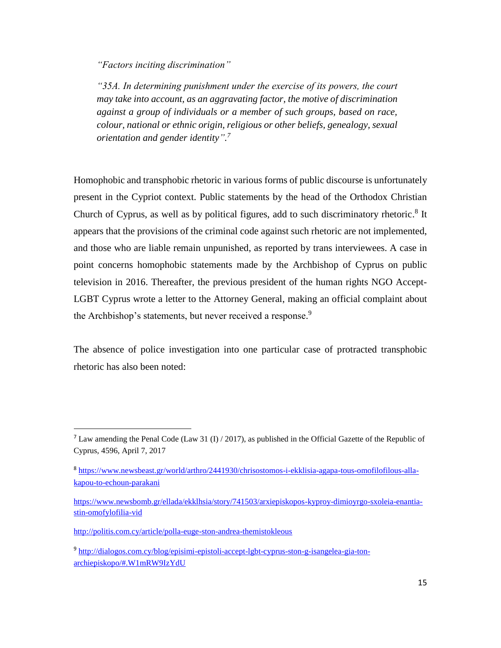*"Factors inciting discrimination"*

*"35A. In determining punishment under the exercise of its powers, the court may take into account, as an aggravating factor, the motive of discrimination against a group of individuals or a member of such groups, based on race, colour, national or ethnic origin, religious or other beliefs, genealogy, sexual orientation and gender identity". 7*

Homophobic and transphobic rhetoric in various forms of public discourse is unfortunately present in the Cypriot context. Public statements by the head of the Orthodox Christian Church of Cyprus, as well as by political figures, add to such discriminatory rhetoric.<sup>8</sup> It appears that the provisions of the criminal code against such rhetoric are not implemented, and those who are liable remain unpunished, as reported by trans interviewees. A case in point concerns homophobic statements made by the Archbishop of Cyprus on public television in 2016. Thereafter, the previous president of the human rights NGO Accept-LGBT Cyprus wrote a letter to the Attorney General, making an official complaint about the Archbishop's statements, but never received a response.<sup>9</sup>

The absence of police investigation into one particular case of protracted transphobic rhetoric has also been noted:

 $\overline{\phantom{a}}$ 

<sup>&</sup>lt;sup>7</sup> Law amending the Penal Code (Law 31 (I) / 2017), as published in the Official Gazette of the Republic of Cyprus, 4596, April 7, 2017

<sup>&</sup>lt;sup>8</sup> [https://www.newsbeast.gr/world/arthro/2441930/chrisostomos-i-ekklisia-agapa-tous-omofilofilous-alla](https://www.newsbeast.gr/world/arthro/2441930/chrisostomos-i-ekklisia-agapa-tous-omofilofilous-alla-kapou-to-echoun-parakani)[kapou-to-echoun-parakani](https://www.newsbeast.gr/world/arthro/2441930/chrisostomos-i-ekklisia-agapa-tous-omofilofilous-alla-kapou-to-echoun-parakani)

[https://www.newsbomb.gr/ellada/ekklhsia/story/741503/arxiepiskopos-kyproy-dimioyrgo-sxoleia-enantia](https://www.newsbomb.gr/ellada/ekklhsia/story/741503/arxiepiskopos-kyproy-dimioyrgo-sxoleia-enantia-stin-omofylofilia-vid)[stin-omofylofilia-vid](https://www.newsbomb.gr/ellada/ekklhsia/story/741503/arxiepiskopos-kyproy-dimioyrgo-sxoleia-enantia-stin-omofylofilia-vid)

<http://politis.com.cy/article/polla-euge-ston-andrea-themistokleous>

<sup>&</sup>lt;sup>9</sup> [http://dialogos.com.cy/blog/episimi-epistoli-accept-lgbt-cyprus-ston-g-isangelea-gia-ton](http://dialogos.com.cy/blog/episimi-epistoli-accept-lgbt-cyprus-ston-g-isangelea-gia-ton-archiepiskopo/#.W1mRW9IzYdU)[archiepiskopo/#.W1mRW9IzYdU](http://dialogos.com.cy/blog/episimi-epistoli-accept-lgbt-cyprus-ston-g-isangelea-gia-ton-archiepiskopo/#.W1mRW9IzYdU)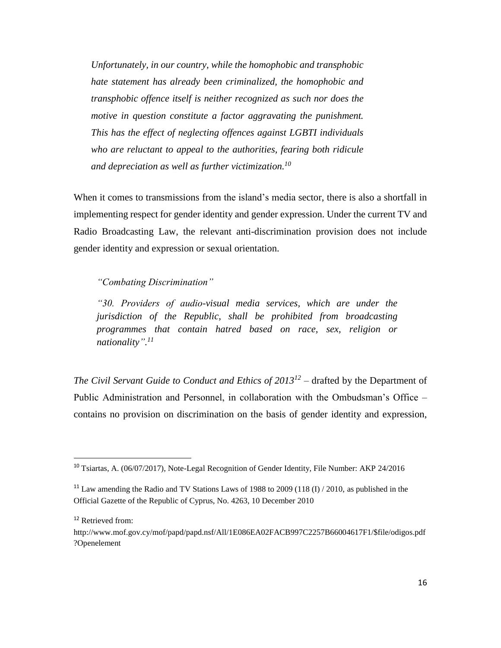*Unfortunately, in our country, while the homophobic and transphobic hate statement has already been criminalized, the homophobic and transphobic offence itself is neither recognized as such nor does the motive in question constitute a factor aggravating the punishment. This has the effect of neglecting offences against LGBTI individuals who are reluctant to appeal to the authorities, fearing both ridicule and depreciation as well as further victimization.<sup>10</sup>*

When it comes to transmissions from the island's media sector, there is also a shortfall in implementing respect for gender identity and gender expression. Under the current TV and Radio Broadcasting Law, the relevant anti-discrimination provision does not include gender identity and expression or sexual orientation.

*"Combating Discrimination"*

*"30. Providers of audio-visual media services, which are under the jurisdiction of the Republic, shall be prohibited from broadcasting programmes that contain hatred based on race, sex, religion or nationality". 11*

*The Civil Servant Guide to Conduct and Ethics of 2013<sup>12</sup>* – drafted by the Department of Public Administration and Personnel, in collaboration with the Ombudsman's Office – contains no provision on discrimination on the basis of gender identity and expression,

 $\overline{\phantom{a}}$ 

<sup>&</sup>lt;sup>10</sup> Tsiartas, A. (06/07/2017), Note-Legal Recognition of Gender Identity, File Number: AKP 24/2016

<sup>&</sup>lt;sup>11</sup> Law amending the Radio and TV Stations Laws of 1988 to 2009 (118  $(I)$  / 2010, as published in the Official Gazette of the Republic of Cyprus, No. 4263, 10 December 2010

<sup>&</sup>lt;sup>12</sup> Retrieved from:

http://www.mof.gov.cy/mof/papd/papd.nsf/All/1E086EA02FACB997C2257B66004617F1/\$file/odigos.pdf ?Openelement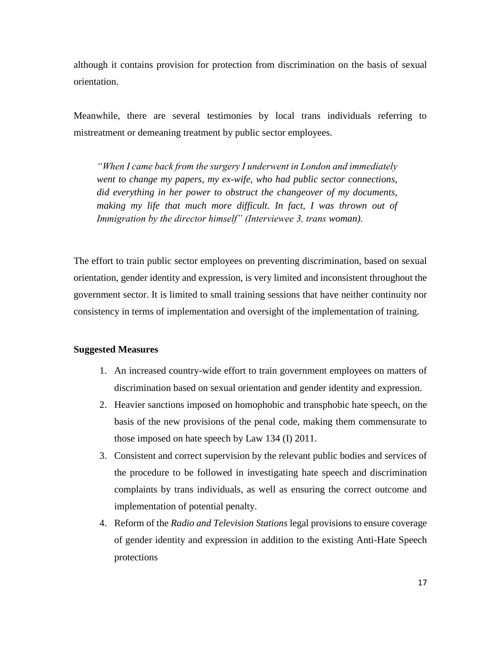although it contains provision for protection from discrimination on the basis of sexual orientation.

Meanwhile, there are several testimonies by local trans individuals referring to mistreatment or demeaning treatment by public sector employees.

*"When I came back from the surgery I underwent in London and immediately went to change my papers, my ex-wife, who had public sector connections, did everything in her power to obstruct the changeover of my documents,*  making my life that much more difficult. In fact, I was thrown out of *Immigration by the director himself" (Interviewee 3, trans woman).*

The effort to train public sector employees on preventing discrimination, based on sexual orientation, gender identity and expression, is very limited and inconsistent throughout the government sector. It is limited to small training sessions that have neither continuity nor consistency in terms of implementation and oversight of the implementation of training.

#### **Suggested Measures**

- 1. An increased country-wide effort to train government employees on matters of discrimination based on sexual orientation and gender identity and expression.
- 2. Heavier sanctions imposed on homophobic and transphobic hate speech, on the basis of the new provisions of the penal code, making them commensurate to those imposed on hate speech by Law 134 (I) 2011.
- 3. Consistent and correct supervision by the relevant public bodies and services of the procedure to be followed in investigating hate speech and discrimination complaints by trans individuals, as well as ensuring the correct outcome and implementation of potential penalty.
- 4. Reform of the *Radio and Television Stations* legal provisions to ensure coverage of gender identity and expression in addition to the existing Anti-Hate Speech protections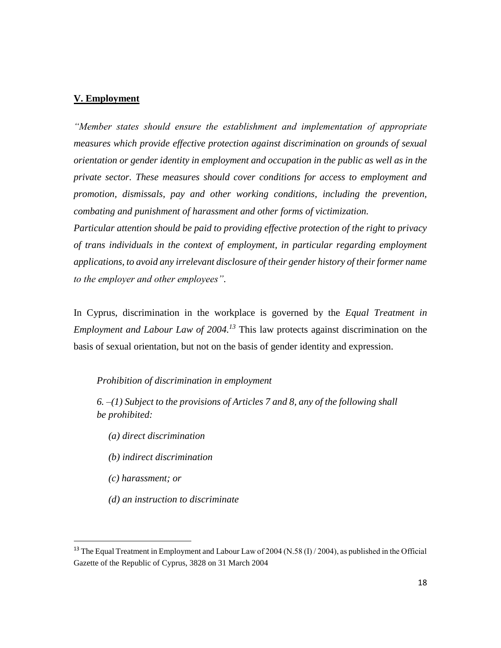# **V. Employment**

*"Member states should ensure the establishment and implementation of appropriate measures which provide effective protection against discrimination on grounds of sexual orientation or gender identity in employment and occupation in the public as well as in the private sector. These measures should cover conditions for access to employment and promotion, dismissals, pay and other working conditions, including the prevention, combating and punishment of harassment and other forms of victimization.* 

*Particular attention should be paid to providing effective protection of the right to privacy of trans individuals in the context of employment, in particular regarding employment applications, to avoid any irrelevant disclosure of their gender history of their former name to the employer and other employees".*

In Cyprus, discrimination in the workplace is governed by the *Equal Treatment in Employment and Labour Law of 2004. <sup>13</sup>* This law protects against discrimination on the basis of sexual orientation, but not on the basis of gender identity and expression.

# *Prohibition of discrimination in employment*

*6. –(1) Subject to the provisions of Articles 7 and 8, any of the following shall be prohibited:*

- *(a) direct discrimination*
- *(b) indirect discrimination*
- *(c) harassment; or*

 $\overline{\phantom{a}}$ 

*(d) an instruction to discriminate*

<sup>&</sup>lt;sup>13</sup> The Equal Treatment in Employment and Labour Law of 2004 (N.58 (I) / 2004), as published in the Official Gazette of the Republic of Cyprus, 3828 on 31 March 2004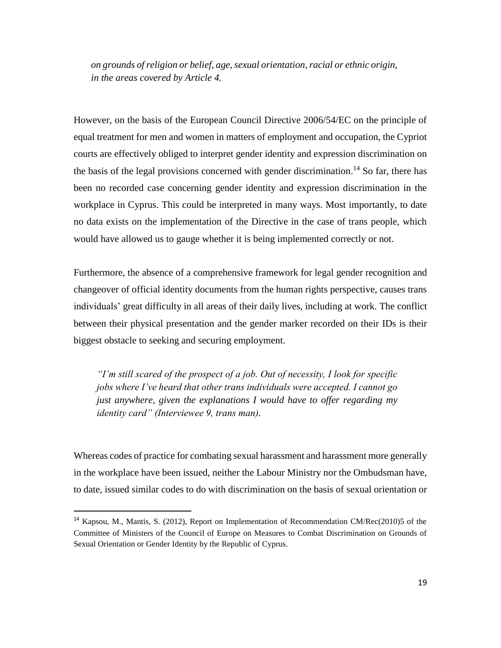*on grounds of religion or belief, age, sexual orientation, racial or ethnic origin, in the areas covered by Article 4.*

However, on the basis of the European Council Directive 2006/54/EC on the principle of equal treatment for men and women in matters of employment and occupation, the Cypriot courts are effectively obliged to interpret gender identity and expression discrimination on the basis of the legal provisions concerned with gender discrimination.<sup>14</sup> So far, there has been no recorded case concerning gender identity and expression discrimination in the workplace in Cyprus. This could be interpreted in many ways. Most importantly, to date no data exists on the implementation of the Directive in the case of trans people, which would have allowed us to gauge whether it is being implemented correctly or not.

Furthermore, the absence of a comprehensive framework for legal gender recognition and changeover of official identity documents from the human rights perspective, causes trans individuals' great difficulty in all areas of their daily lives, including at work. The conflict between their physical presentation and the gender marker recorded on their IDs is their biggest obstacle to seeking and securing employment.

*"I'm still scared of the prospect of a job. Out of necessity, I look for specific jobs where I've heard that other trans individuals were accepted. I cannot go just anywhere, given the explanations I would have to offer regarding my identity card" (Interviewee 9, trans man).*

Whereas codes of practice for combating sexual harassment and harassment more generally in the workplace have been issued, neither the Labour Ministry nor the Ombudsman have, to date, issued similar codes to do with discrimination on the basis of sexual orientation or

 $\overline{\phantom{a}}$ 

<sup>14</sup> Kapsou, M., Mantis, S. (2012), Report on Implementation of Recommendation CM/Rec(2010)5 of the Committee of Ministers of the Council of Europe on Measures to Combat Discrimination on Grounds of Sexual Orientation or Gender Identity by the Republic of Cyprus.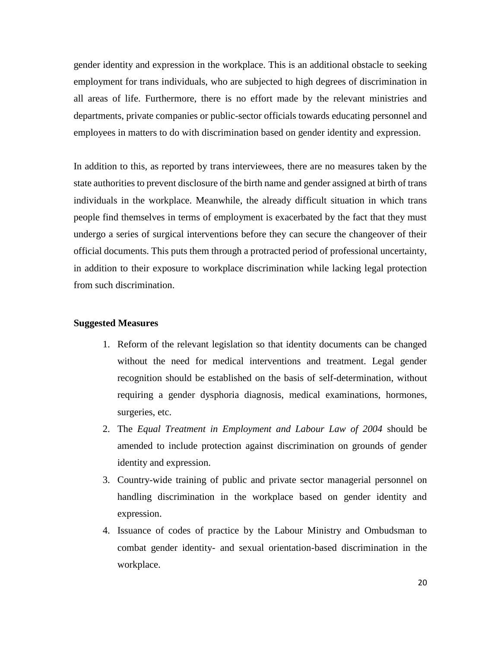gender identity and expression in the workplace. This is an additional obstacle to seeking employment for trans individuals, who are subjected to high degrees of discrimination in all areas of life. Furthermore, there is no effort made by the relevant ministries and departments, private companies or public-sector officials towards educating personnel and employees in matters to do with discrimination based on gender identity and expression.

In addition to this, as reported by trans interviewees, there are no measures taken by the state authorities to prevent disclosure of the birth name and gender assigned at birth of trans individuals in the workplace. Meanwhile, the already difficult situation in which trans people find themselves in terms of employment is exacerbated by the fact that they must undergo a series of surgical interventions before they can secure the changeover of their official documents. This puts them through a protracted period of professional uncertainty, in addition to their exposure to workplace discrimination while lacking legal protection from such discrimination.

# **Suggested Measures**

- 1. Reform of the relevant legislation so that identity documents can be changed without the need for medical interventions and treatment. Legal gender recognition should be established on the basis of self-determination, without requiring a gender dysphoria diagnosis, medical examinations, hormones, surgeries, etc.
- 2. The *Equal Treatment in Employment and Labour Law of 2004* should be amended to include protection against discrimination on grounds of gender identity and expression.
- 3. Country-wide training of public and private sector managerial personnel on handling discrimination in the workplace based on gender identity and expression.
- 4. Issuance of codes of practice by the Labour Ministry and Ombudsman to combat gender identity- and sexual orientation-based discrimination in the workplace.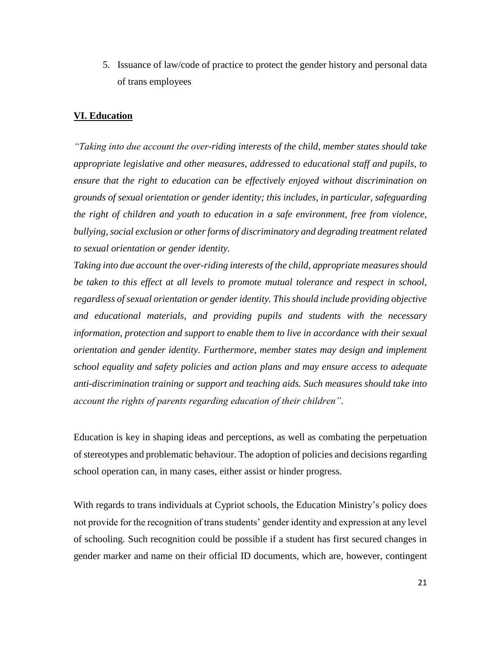5. Issuance of law/code of practice to protect the gender history and personal data of trans employees

# **VI. Education**

*"Taking into due account the over-riding interests of the child, member states should take appropriate legislative and other measures, addressed to educational staff and pupils, to ensure that the right to education can be effectively enjoyed without discrimination on grounds of sexual orientation or gender identity; this includes, in particular, safeguarding the right of children and youth to education in a safe environment, free from violence, bullying, social exclusion or other forms of discriminatory and degrading treatment related to sexual orientation or gender identity.* 

*Taking into due account the over-riding interests of the child, appropriate measures should be taken to this effect at all levels to promote mutual tolerance and respect in school, regardless of sexual orientation or gender identity. This should include providing objective and educational materials, and providing pupils and students with the necessary information, protection and support to enable them to live in accordance with their sexual orientation and gender identity. Furthermore, member states may design and implement school equality and safety policies and action plans and may ensure access to adequate anti-discrimination training or support and teaching aids. Such measures should take into account the rights of parents regarding education of their children".*

Education is key in shaping ideas and perceptions, as well as combating the perpetuation of stereotypes and problematic behaviour. The adoption of policies and decisions regarding school operation can, in many cases, either assist or hinder progress.

With regards to trans individuals at Cypriot schools, the Education Ministry's policy does not provide for the recognition of trans students' gender identity and expression at any level of schooling. Such recognition could be possible if a student has first secured changes in gender marker and name on their official ID documents, which are, however, contingent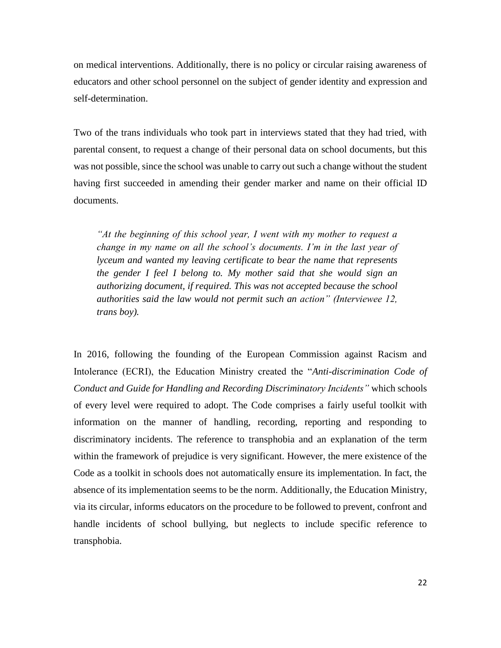on medical interventions. Additionally, there is no policy or circular raising awareness of educators and other school personnel on the subject of gender identity and expression and self-determination.

Two of the trans individuals who took part in interviews stated that they had tried, with parental consent, to request a change of their personal data on school documents, but this was not possible, since the school was unable to carry out such a change without the student having first succeeded in amending their gender marker and name on their official ID documents.

*"At the beginning of this school year, I went with my mother to request a change in my name on all the school's documents. I'm in the last year of lyceum and wanted my leaving certificate to bear the name that represents the gender I feel I belong to. My mother said that she would sign an authorizing document, if required. This was not accepted because the school authorities said the law would not permit such an action" (Interviewee 12, trans boy).*

In 2016, following the founding of the European Commission against Racism and Intolerance (ECRI), the Education Ministry created the "*Anti-discrimination Code of Conduct and Guide for Handling and Recording Discriminatory Incidents"* which schools of every level were required to adopt. The Code comprises a fairly useful toolkit with information on the manner of handling, recording, reporting and responding to discriminatory incidents. The reference to transphobia and an explanation of the term within the framework of prejudice is very significant. However, the mere existence of the Code as a toolkit in schools does not automatically ensure its implementation. In fact, the absence of its implementation seems to be the norm. Additionally, the Education Ministry, via its circular, informs educators on the procedure to be followed to prevent, confront and handle incidents of school bullying, but neglects to include specific reference to transphobia.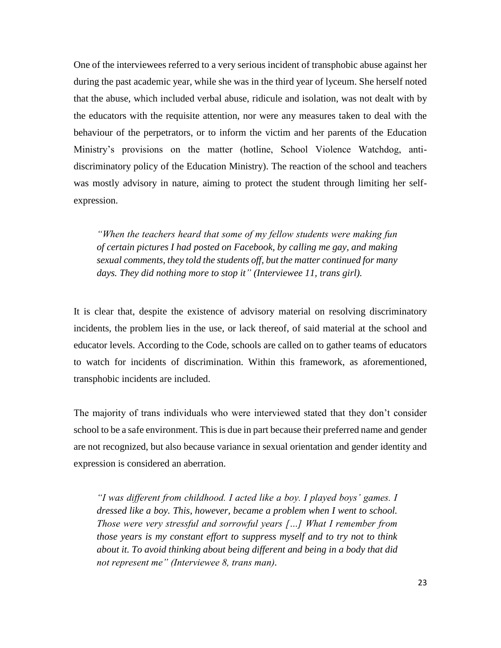One of the interviewees referred to a very serious incident of transphobic abuse against her during the past academic year, while she was in the third year of lyceum. She herself noted that the abuse, which included verbal abuse, ridicule and isolation, was not dealt with by the educators with the requisite attention, nor were any measures taken to deal with the behaviour of the perpetrators, or to inform the victim and her parents of the Education Ministry's provisions on the matter (hotline, School Violence Watchdog, antidiscriminatory policy of the Education Ministry). The reaction of the school and teachers was mostly advisory in nature, aiming to protect the student through limiting her selfexpression.

*"When the teachers heard that some of my fellow students were making fun of certain pictures I had posted on Facebook, by calling me gay, and making sexual comments, they told the students off, but the matter continued for many days. They did nothing more to stop it" (Interviewee 11, trans girl).*

It is clear that, despite the existence of advisory material on resolving discriminatory incidents, the problem lies in the use, or lack thereof, of said material at the school and educator levels. According to the Code, schools are called on to gather teams of educators to watch for incidents of discrimination. Within this framework, as aforementioned, transphobic incidents are included.

The majority of trans individuals who were interviewed stated that they don't consider school to be a safe environment. This is due in part because their preferred name and gender are not recognized, but also because variance in sexual orientation and gender identity and expression is considered an aberration.

*"I was different from childhood. I acted like a boy. I played boys' games. I dressed like a boy. This, however, became a problem when I went to school. Those were very stressful and sorrowful years […] What I remember from those years is my constant effort to suppress myself and to try not to think about it. To avoid thinking about being different and being in a body that did not represent me" (Interviewee 8, trans man).*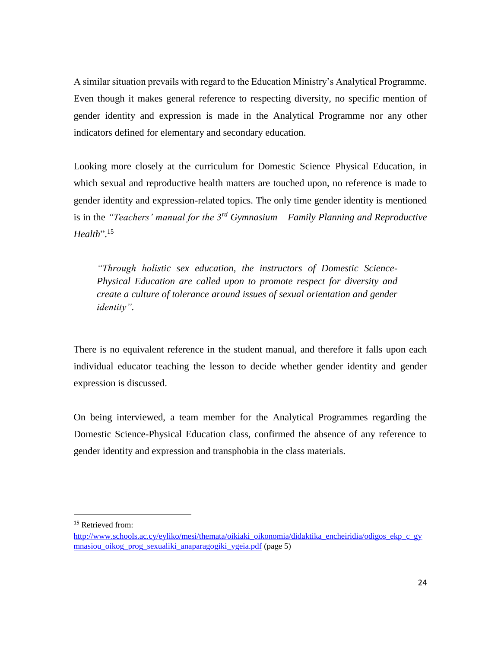A similar situation prevails with regard to the Education Ministry's Analytical Programme. Even though it makes general reference to respecting diversity, no specific mention of gender identity and expression is made in the Analytical Programme nor any other indicators defined for elementary and secondary education.

Looking more closely at the curriculum for Domestic Science–Physical Education, in which sexual and reproductive health matters are touched upon, no reference is made to gender identity and expression-related topics. The only time gender identity is mentioned is in the *"Teachers' manual for the 3rd Gymnasium – Family Planning and Reproductive Health*". 15

*"Through holistic sex education, the instructors of Domestic Science-Physical Education are called upon to promote respect for diversity and create a culture of tolerance around issues of sexual orientation and gender identity".*

There is no equivalent reference in the student manual, and therefore it falls upon each individual educator teaching the lesson to decide whether gender identity and gender expression is discussed.

On being interviewed, a team member for the Analytical Programmes regarding the Domestic Science-Physical Education class, confirmed the absence of any reference to gender identity and expression and transphobia in the class materials.

 $\overline{\phantom{a}}$ 

<sup>&</sup>lt;sup>15</sup> Retrieved from:

[http://www.schools.ac.cy/eyliko/mesi/themata/oikiaki\\_oikonomia/didaktika\\_encheiridia/odigos\\_ekp\\_c\\_gy](http://www.schools.ac.cy/eyliko/mesi/themata/oikiaki_oikonomia/didaktika_encheiridia/odigos_ekp_c_gymnasiou_oikog_prog_sexualiki_anaparagogiki_ygeia.pdf) [mnasiou\\_oikog\\_prog\\_sexualiki\\_anaparagogiki\\_ygeia.pdf](http://www.schools.ac.cy/eyliko/mesi/themata/oikiaki_oikonomia/didaktika_encheiridia/odigos_ekp_c_gymnasiou_oikog_prog_sexualiki_anaparagogiki_ygeia.pdf) (page 5)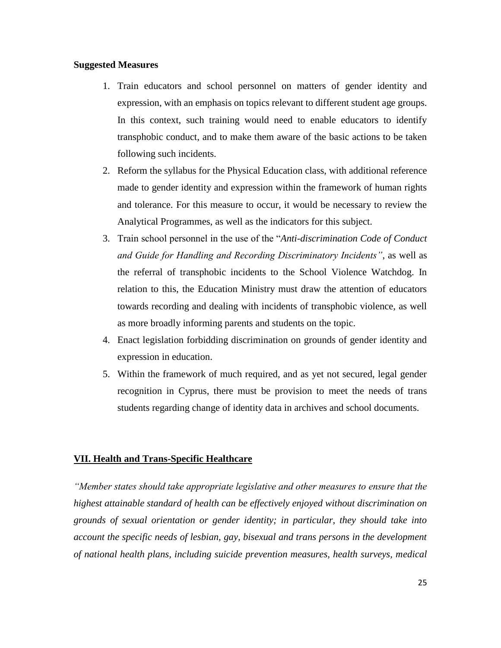# **Suggested Measures**

- 1. Train educators and school personnel on matters of gender identity and expression, with an emphasis on topics relevant to different student age groups. In this context, such training would need to enable educators to identify transphobic conduct, and to make them aware of the basic actions to be taken following such incidents.
- 2. Reform the syllabus for the Physical Education class, with additional reference made to gender identity and expression within the framework of human rights and tolerance. For this measure to occur, it would be necessary to review the Analytical Programmes, as well as the indicators for this subject.
- 3. Train school personnel in the use of the "*Anti-discrimination Code of Conduct and Guide for Handling and Recording Discriminatory Incidents"*, as well as the referral of transphobic incidents to the School Violence Watchdog. In relation to this, the Education Ministry must draw the attention of educators towards recording and dealing with incidents of transphobic violence, as well as more broadly informing parents and students on the topic.
- 4. Enact legislation forbidding discrimination on grounds of gender identity and expression in education.
- 5. Within the framework of much required, and as yet not secured, legal gender recognition in Cyprus, there must be provision to meet the needs of trans students regarding change of identity data in archives and school documents.

# **VII. Health and Trans-Specific Healthcare**

*"Member states should take appropriate legislative and other measures to ensure that the highest attainable standard of health can be effectively enjoyed without discrimination on grounds of sexual orientation or gender identity; in particular, they should take into account the specific needs of lesbian, gay, bisexual and trans persons in the development of national health plans, including suicide prevention measures, health surveys, medical*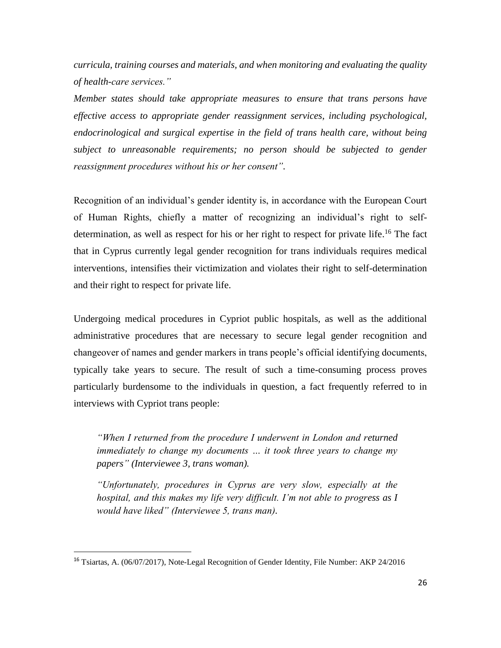*curricula, training courses and materials, and when monitoring and evaluating the quality of health-care services."*

*Member states should take appropriate measures to ensure that trans persons have effective access to appropriate gender reassignment services, including psychological, endocrinological and surgical expertise in the field of trans health care, without being subject to unreasonable requirements; no person should be subjected to gender reassignment procedures without his or her consent".*

Recognition of an individual's gender identity is, in accordance with the European Court of Human Rights, chiefly a matter of recognizing an individual's right to selfdetermination, as well as respect for his or her right to respect for private life.<sup>16</sup> The fact that in Cyprus currently legal gender recognition for trans individuals requires medical interventions, intensifies their victimization and violates their right to self-determination and their right to respect for private life.

Undergoing medical procedures in Cypriot public hospitals, as well as the additional administrative procedures that are necessary to secure legal gender recognition and changeover of names and gender markers in trans people's official identifying documents, typically take years to secure. The result of such a time-consuming process proves particularly burdensome to the individuals in question, a fact frequently referred to in interviews with Cypriot trans people:

*"When I returned from the procedure I underwent in London and returned immediately to change my documents … it took three years to change my papers" (Interviewee 3, trans woman).*

*"Unfortunately, procedures in Cyprus are very slow, especially at the hospital, and this makes my life very difficult. I'm not able to progress as I would have liked" (Interviewee 5, trans man).*

 $\overline{a}$ 

<sup>&</sup>lt;sup>16</sup> Tsiartas, A. (06/07/2017), Note-Legal Recognition of Gender Identity, File Number: AKP 24/2016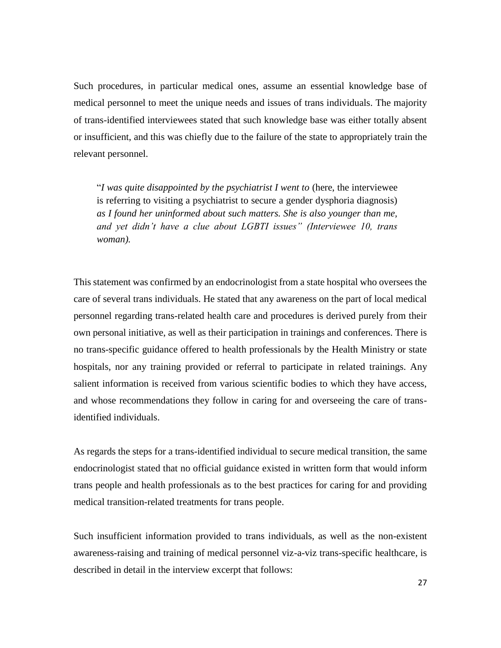Such procedures, in particular medical ones, assume an essential knowledge base of medical personnel to meet the unique needs and issues of trans individuals. The majority of trans-identified interviewees stated that such knowledge base was either totally absent or insufficient, and this was chiefly due to the failure of the state to appropriately train the relevant personnel.

"*I was quite disappointed by the psychiatrist I went to* (here, the interviewee is referring to visiting a psychiatrist to secure a gender dysphoria diagnosis) *as I found her uninformed about such matters. She is also younger than me, and yet didn't have a clue about LGBTI issues" (Interviewee 10, trans woman).*

This statement was confirmed by an endocrinologist from a state hospital who oversees the care of several trans individuals. He stated that any awareness on the part of local medical personnel regarding trans-related health care and procedures is derived purely from their own personal initiative, as well as their participation in trainings and conferences. There is no trans-specific guidance offered to health professionals by the Health Ministry or state hospitals, nor any training provided or referral to participate in related trainings. Any salient information is received from various scientific bodies to which they have access, and whose recommendations they follow in caring for and overseeing the care of transidentified individuals.

As regards the steps for a trans-identified individual to secure medical transition, the same endocrinologist stated that no official guidance existed in written form that would inform trans people and health professionals as to the best practices for caring for and providing medical transition-related treatments for trans people.

Such insufficient information provided to trans individuals, as well as the non-existent awareness-raising and training of medical personnel viz-a-viz trans-specific healthcare, is described in detail in the interview excerpt that follows: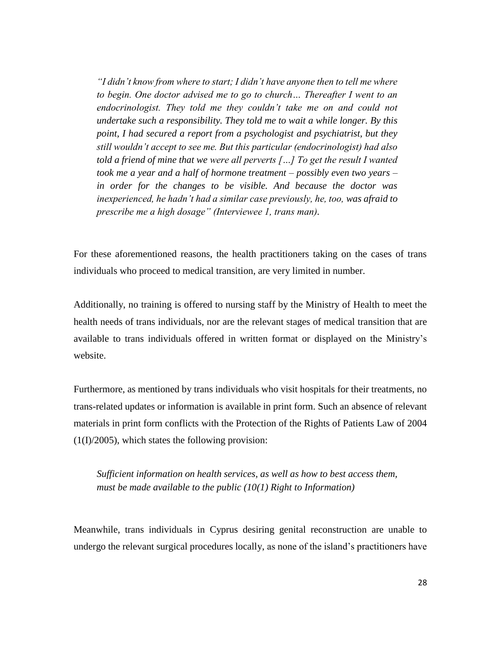*"I didn't know from where to start; I didn't have anyone then to tell me where to begin. One doctor advised me to go to church… Thereafter I went to an endocrinologist. They told me they couldn't take me on and could not undertake such a responsibility. They told me to wait a while longer. By this point, I had secured a report from a psychologist and psychiatrist, but they still wouldn't accept to see me. But this particular (endocrinologist) had also told a friend of mine that we were all perverts […] To get the result I wanted took me a year and a half of hormone treatment – possibly even two years – in order for the changes to be visible. And because the doctor was inexperienced, he hadn't had a similar case previously, he, too, was afraid to prescribe me a high dosage" (Interviewee 1, trans man).*

For these aforementioned reasons, the health practitioners taking on the cases of trans individuals who proceed to medical transition, are very limited in number.

Additionally, no training is offered to nursing staff by the Ministry of Health to meet the health needs of trans individuals, nor are the relevant stages of medical transition that are available to trans individuals offered in written format or displayed on the Ministry's website.

Furthermore, as mentioned by trans individuals who visit hospitals for their treatments, no trans-related updates or information is available in print form. Such an absence of relevant materials in print form conflicts with the Protection of the Rights of Patients Law of 2004  $(1(I)/2005)$ , which states the following provision:

*Sufficient information on health services, as well as how to best access them, must be made available to the public (10(1) Right to Information)*

Meanwhile, trans individuals in Cyprus desiring genital reconstruction are unable to undergo the relevant surgical procedures locally, as none of the island's practitioners have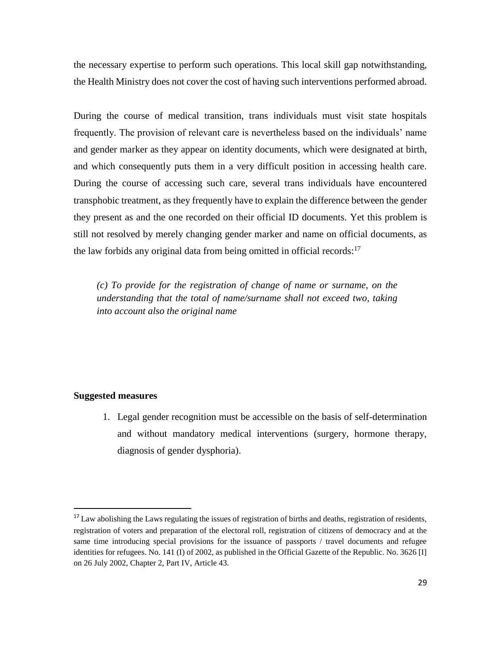the necessary expertise to perform such operations. This local skill gap notwithstanding, the Health Ministry does not cover the cost of having such interventions performed abroad.

During the course of medical transition, trans individuals must visit state hospitals frequently. The provision of relevant care is nevertheless based on the individuals' name and gender marker as they appear on identity documents, which were designated at birth, and which consequently puts them in a very difficult position in accessing health care. During the course of accessing such care, several trans individuals have encountered transphobic treatment, as they frequently have to explain the difference between the gender they present as and the one recorded on their official ID documents. Yet this problem is still not resolved by merely changing gender marker and name on official documents, as the law forbids any original data from being omitted in official records:<sup>17</sup>

*(c) To provide for the registration of change of name or surname, on the understanding that the total of name/surname shall not exceed two, taking into account also the original name*

# **Suggested measures**

 $\overline{\phantom{a}}$ 

1. Legal gender recognition must be accessible on the basis of self-determination and without mandatory medical interventions (surgery, hormone therapy, diagnosis of gender dysphoria).

<sup>&</sup>lt;sup>17</sup> Law abolishing the Laws regulating the issues of registration of births and deaths, registration of residents, registration of voters and preparation of the electoral roll, registration of citizens of democracy and at the same time introducing special provisions for the issuance of passports / travel documents and refugee identities for refugees. No. 141 (I) of 2002, as published in the Official Gazette of the Republic. No. 3626 [I] on 26 July 2002, Chapter 2, Part IV, Article 43.